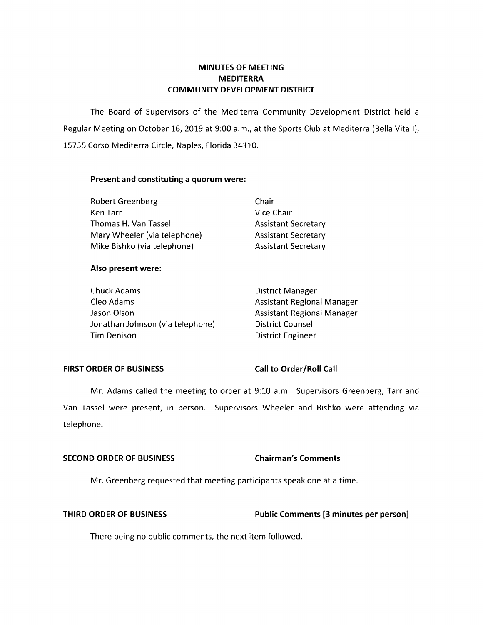# **MINUTES OF MEETING MEDITERRA COMMUNITY DEVELOPMENT DISTRICT**

The Board of Supervisors of the Mediterra Community Development District held a Regular Meeting on October 16, 2019 at 9:00 a.m., at the Sports Club at Mediterra {Bella Vita I}, 15735 Corso Mediterra Circle, Naples, Florida 34110.

## **Present and constituting a quorum were:**

| <b>Robert Greenberg</b>      | Chair                      |
|------------------------------|----------------------------|
| Ken Tarr                     | Vice Chair                 |
| Thomas H. Van Tassel         | <b>Assistant Secretary</b> |
| Mary Wheeler (via telephone) | <b>Assistant Secretary</b> |
| Mike Bishko (via telephone)  | <b>Assistant Secretary</b> |

## **Also present were:**

| Chuck Adams                      | <b>District Manager</b>           |
|----------------------------------|-----------------------------------|
| Cleo Adams                       | <b>Assistant Regional Manager</b> |
| Jason Olson                      | <b>Assistant Regional Manager</b> |
| Jonathan Johnson (via telephone) | <b>District Counsel</b>           |
| Tim Denison                      | <b>District Engineer</b>          |

### FIRST ORDER OF BUSINESS Call to Order/Roll Call

Mr. Adams called the meeting to order at 9:10 a.m. Supervisors Greenberg, Tarr and Van Tassel were present, in person. Supervisors Wheeler and Bishko were attending via telephone.

## **SECOND ORDER OF BUSINESS** Chairman's Comments

Mr. Greenberg requested that meeting participants speak one at a time.

## **THIRD ORDER OF BUSINESS Public Comments [3 minutes per person]**

There being no public comments, the next item followed.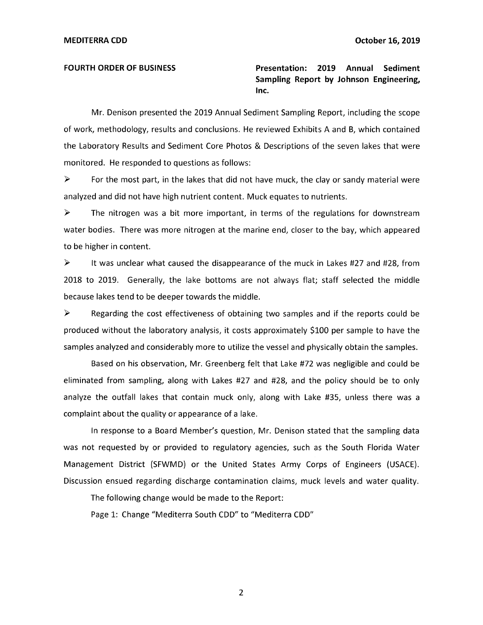**FOURTH ORDER OF BUSINESS Presentation: 2019 Annual Sediment Sampling Report by Johnson Engineering, Inc.** 

Mr. Denison presented the 2019 Annual Sediment Sampling Report, including the scope of work, methodology, results and conclusions. He reviewed Exhibits A and B, which contained the Laboratory Results and Sediment Core Photos & Descriptions of the seven lakes that were monitored. He responded to questions as follows:

 $\triangleright$  For the most part, in the lakes that did not have muck, the clay or sandy material were analyzed and did not have high nutrient content. Muck equates to nutrients.

► The nitrogen was a bit more important, in terms of the regulations for downstream water bodies. There was more nitrogen at the marine end, closer to the bay, which appeared to be higher in content.

 $\triangleright$  It was unclear what caused the disappearance of the muck in Lakes #27 and #28, from 2018 to 2019. Generally, the lake bottoms are not always flat; staff selected the middle because lakes tend to be deeper towards the middle.

 $\triangleright$  Regarding the cost effectiveness of obtaining two samples and if the reports could be produced without the laboratory analysis, it costs approximately \$100 per sample to have the samples analyzed and considerably more to utilize the vessel and physically obtain the samples.

Based on his observation, Mr. Greenberg felt that Lake #72 was negligible and could be eliminated from sampling, along with Lakes #27 and #28, and the policy should be to only analyze the outfall lakes that contain muck only, along with Lake #35, unless there was a complaint about the quality or appearance of a lake.

In response to a Board Member's question, Mr. Denison stated that the sampling data was not requested by or provided to regulatory agencies, such as the South Florida Water Management District (SFWMD) or the United States Army Corps of Engineers (USACE). Discussion ensued regarding discharge contamination claims, muck levels and water quality.

The following change would be made to the Report:

Page 1: Change "Mediterra South CDD" to "Mediterra CDD"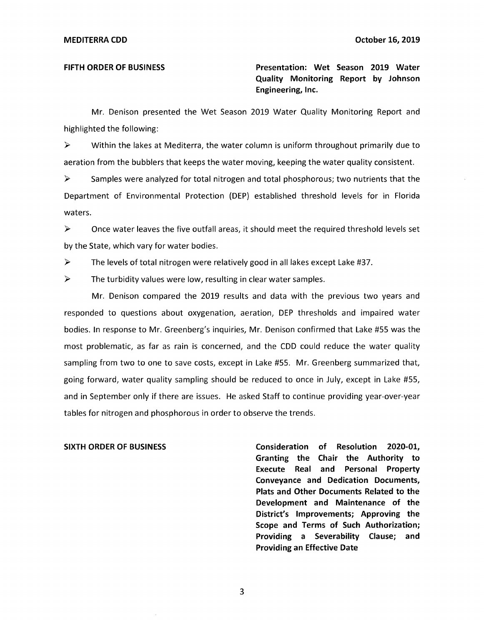**FIFTH ORDER OF BUSINESS Presentation: Wet Season 2019 Water Quality Monitoring Report by Johnson Engineering, Inc.** 

Mr. Denison presented the Wet Season 2019 Water Quality Monitoring Report and highlighted the following:

 $\triangleright$  Within the lakes at Mediterra, the water column is uniform throughout primarily due to aeration from the bubblers that keeps the water moving, keeping the water quality consistent.

 $\triangleright$  Samples were analyzed for total nitrogen and total phosphorous; two nutrients that the Department of Environmental Protection (DEP) established threshold levels for in Florida waters.

► Once water leaves the five outfall areas, it should meet the required threshold levels set by the State, which vary for water bodies.

► The levels of total nitrogen were relatively good in all lakes except Lake #37.

 $\triangleright$  The turbidity values were low, resulting in clear water samples.

Mr. Denison compared the 2019 results and data with the previous two years and responded to questions about oxygenation, aeration, DEP thresholds and impaired water bodies. In response to Mr. Greenberg's inquiries, Mr. Denison confirmed that Lake #55 was the most problematic, as far as rain is concerned, and the COD could reduce the water quality sampling from two to one to save costs, except in Lake #55. Mr. Greenberg summarized that, going forward, water quality sampling should be reduced to once in July, except in Lake #55, and in September only if there are issues. He asked Staff to continue providing year-over-year tables for nitrogen and phosphorous in order to observe the trends.

**SIXTH ORDER OF BUSINESS Consideration of Resolution 2020-01, Granting the Chair the Authority to Execute Real and Personal Property Conveyance and Dedication Documents, Plats and Other Documents Related to the Development and Maintenance of the District's Improvements; Approving the Scope and Terms of Such Authorization; Providing a Severability Clause; and Providing an Effective Date** 

3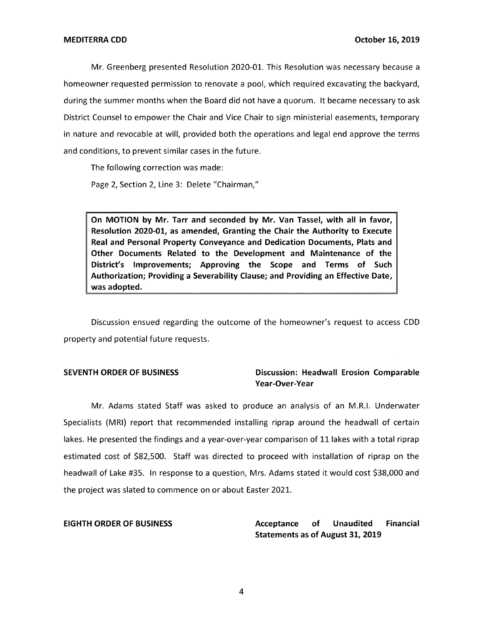Mr. Greenberg presented Resolution 2020-01. This Resolution was necessary because a homeowner requested permission to renovate a pool, which required excavating the backyard, during the summer months when the Board did not have a quorum. It became necessary to ask District Counsel to empower the Chair and Vice Chair to sign ministerial easements, temporary in nature and revocable at will, provided both the operations and legal end approve the terms and conditions, to prevent similar cases in the future.

The following correction was made:

Page 2, Section 2, Line 3: Delete "Chairman,"

**On MOTION by Mr. Tarr and seconded by Mr. Van Tassel, with all in favor, Resolution 2020-01, as amended, Granting the Chair the Authority to Execute Real and Personal Property Conveyance and Dedication Documents, Plats and Other Documents Related to the Development and Maintenance of the District's Improvements; Approving the Scope and Terms of Such Authorization; Providing a Severability Clause; and Providing an Effective Date, was adopted.** 

Discussion ensued regarding the outcome of the homeowner's request to access CDD property and potential future requests.

## **SEVENTH ORDER OF BUSINESS Discussion: Headwall Erosion Comparable Year-Over-Year**

Mr. Adams stated Staff was asked to produce an analysis of an M.R.I. Underwater Specialists (MRI) report that recommended installing riprap around the headwall of certain lakes. He presented the findings and a year-over-year comparison of 11 lakes with a total riprap estimated cost of \$82,500. Staff was directed to proceed with installation of riprap on the headwall of Lake #35. In response to a question, Mrs. Adams stated it would cost \$38,000 and the project was slated to commence on or about Easter 2021.

**EIGHTH ORDER OF BUSINESS Acceptance of Unaudited Financial Statements as of August 31, 2019**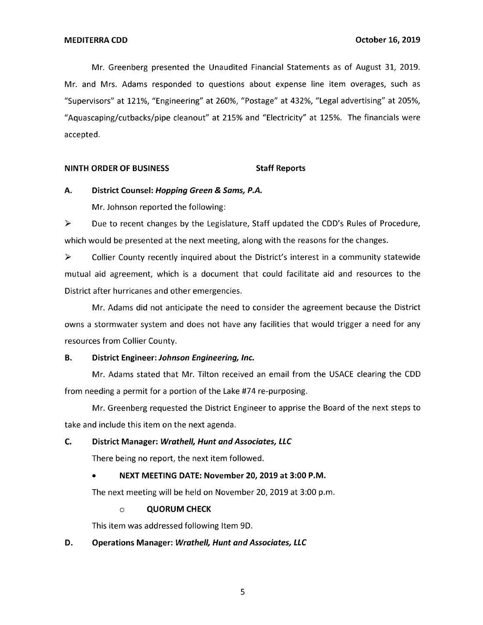Mr. Greenberg presented the Unaudited Financial Statements as of August 31, 2019. Mr. and Mrs. Adams responded to questions about expense line item overages, such as "Supervisors" at 121%, "Engineering" at 260%, "Postage" at 432%, "Legal advertising" at 205%, "Aquascaping/cutbacks/pipe cleanout" at 215% and "Electricity" at 125%. The financials were accepted.

### **NINTH ORDER OF BUSINESS STATES STAFF Reports**

## **A. District Counsel: Hopping Green & Sams, P.A.**

Mr. Johnson reported the following:

► Due to recent changes by the Legislature, Staff updated the CDD's Rules of Procedure, which would be presented at the next meeting, along with the reasons for the changes.

► Collier County recently inquired about the District's interest in a community statewide mutual aid agreement, which is a document that could facilitate aid and resources to the District after hurricanes and other emergencies.

Mr. Adams did not anticipate the need to consider the agreement because the District owns a stormwater system and does not have any facilities that would trigger a need for any resources from Collier County.

### **B. District Engineer: Johnson Engineering, Inc.**

Mr. Adams stated that Mr. Tilton received an email from the USACE clearing the CDD from needing a permit for a portion of the Lake #74 re-purposing.

Mr. Greenberg requested the District Engineer to apprise the Board of the next steps to take and include this item on the next agenda.

## **C. District Manager: Wrathe/1, Hunt and Associates, LLC**

There being no report, the next item followed.

## • **NEXT MEETING DATE: November 20, 2019 at 3:00 P.M.**

The next meeting will be held on November 20, 2019 at 3:00 p.m.

### o **QUORUM CHECK**

This item was addressed following Item 9D.

### **D. Operations Manager: Wrathe/1, Hunt and Associates, LLC**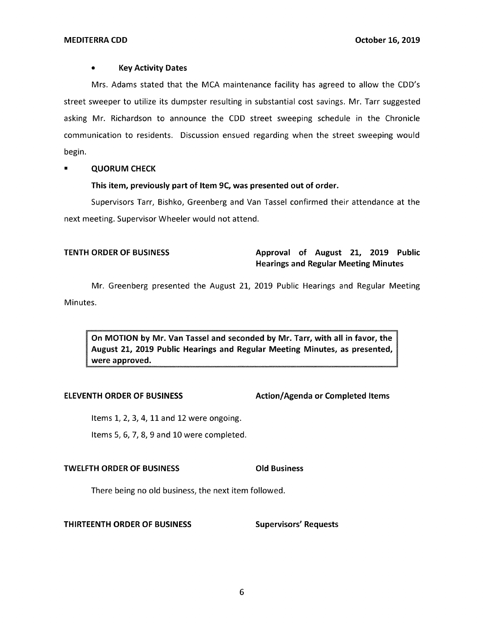### • **Key Activity Dates**

Mrs. Adams stated that the MCA maintenance facility has agreed to allow the CDD's street sweeper to utilize its dumpster resulting in substantial cost savings. Mr. Tarr suggested asking Mr. Richardson to announce the CDD street sweeping schedule in the Chronicle communication to residents. Discussion ensued regarding when the street sweeping would begin.

## • **QUORUM CHECK**

## **This item, previously part of Item 9C, was presented out of order.**

Supervisors Tarr, Bishko, Greenberg and Van Tassel confirmed their attendance at the next meeting. Supervisor Wheeler would not attend.

# **TENTH ORDER OF BUSINESS** Approval of August 21, 2019 Public **Hearings and Regular Meeting Minutes**

Mr. Greenberg presented the August 21, 2019 Public Hearings and Regular Meeting Minutes.

**On MOTION by Mr. Van Tassel and seconded by Mr. Tarr, with all in favor, the August 21, 2019 Public Hearings and Regular Meeting Minutes, as presented, were approved.** 

### **ELEVENTH ORDER OF BUSINESS Action/Agenda or Completed Items**

Items 1, 2, 3, 4, 11 and 12 were ongoing.

Items 5, 6, 7, 8, 9 and 10 were completed.

## **TWELFTH ORDER OF BUSINESS CONSIDERED BUSINESS**

There being no old business, the next item followed.

### **THIRTEENTH ORDER OF BUSINESS Supervisors' Requests**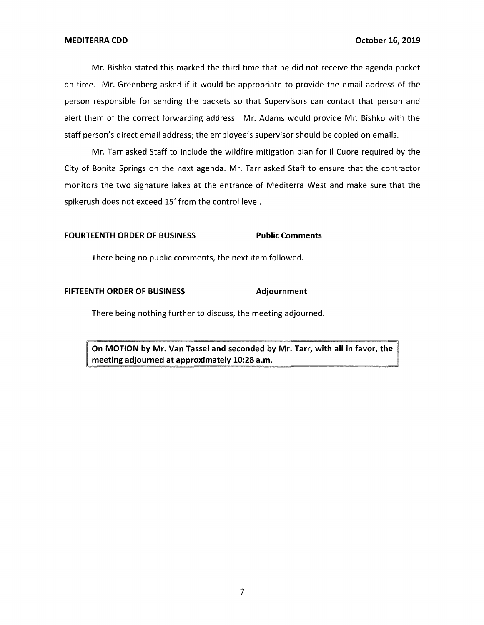Mr. Bishko stated this marked the third time that he did not receive the agenda packet on time. Mr. Greenberg asked if it would be appropriate to provide the email address of the person responsible for sending the packets so that Supervisors can contact that person and alert them of the correct forwarding address. Mr. Adams would provide Mr. Bishko with the staff person's direct email address; the employee's supervisor should be copied on emails.

Mr. Tarr asked Staff to include the wildfire mitigation plan for II Cuore required by the City of Bonita Springs on the next agenda. Mr. Tarr asked Staff to ensure that the contractor monitors the two signature lakes at the entrance of Mediterra West and make sure that the spikerush does not exceed 15' from the control level.

## **FOURTEENTH ORDER OF BUSINESS Public Comments**

There being no public comments, the next item followed.

### **FIFTEENTH ORDER OF BUSINESS Adjournment**

There being nothing further to discuss, the meeting adjourned.

**On MOTION by Mr. Van Tassel and seconded by Mr. Tarr, with all in favor, the meeting adjourned at approximately 10:28 a.m.**